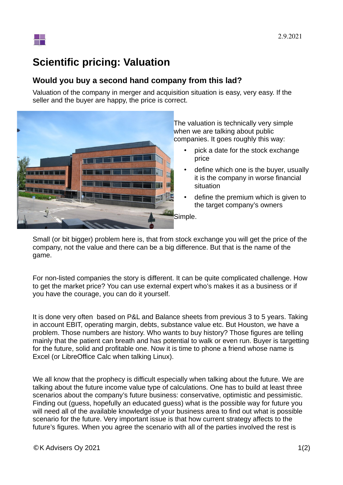

## **Scientific pricing: Valuation**

## **Would you buy a second hand company from this lad?**

Valuation of the company in merger and acquisition situation is easy, very easy. If the seller and the buyer are happy, the price is correct.



The valuation is technically very simple when we are talking about public companies. It goes roughly this way:

- pick a date for the stock exchange price
- define which one is the buyer, usually it is the company in worse financial situation
- define the premium which is given to the target company's owners
- Simple.

Small (or bit bigger) problem here is, that from stock exchange you will get the price of the company, not the value and there can be a big difference. But that is the name of the game.

For non-listed companies the story is different. It can be quite complicated challenge. How to get the market price? You can use external expert who's makes it as a business or if you have the courage, you can do it yourself.

It is done very often based on P&L and Balance sheets from previous 3 to 5 years. Taking in account EBIT, operating margin, debts, substance value etc. But Houston, we have a problem. Those numbers are history. Who wants to buy history? Those figures are telling mainly that the patient can breath and has potential to walk or even run. Buyer is targetting for the future, solid and profitable one. Now it is time to phone a friend whose name is Excel (or LibreOffice Calc when talking Linux).

We all know that the prophecy is difficult especially when talking about the future. We are talking about the future income value type of calculations. One has to build at least three scenarios about the company's future business: conservative, optimistic and pessimistic. Finding out (guess, hopefully an educated guess) what is the possible way for future you will need all of the available knowledge of your business area to find out what is possible scenario for the future. Very important issue is that how current strategy affects to the future's figures. When you agree the scenario with all of the parties involved the rest is